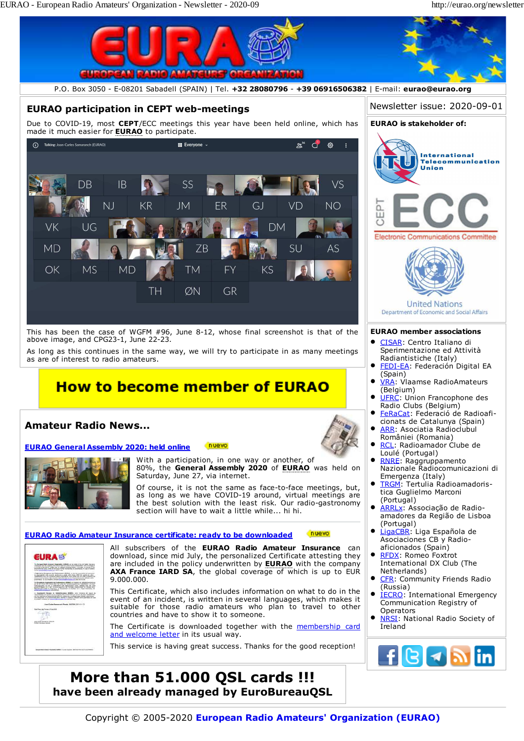

Copyright © 2005-2020 **European Radio Amateurs' Organization (EURAO)**

**More than 51.000 QSL cards !!! have been already managed by EuroBureauQSL**